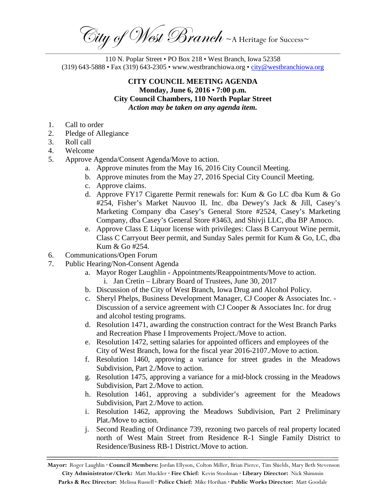City of West Branch ~ A Heritage for Success~ \_\_\_\_\_\_\_\_\_\_\_\_\_\_\_\_\_\_\_\_\_\_\_\_\_\_\_\_\_\_\_\_\_\_\_\_\_\_\_\_\_\_\_\_\_\_\_\_\_\_\_\_\_\_\_\_\_\_\_\_\_\_\_\_\_\_\_\_\_\_\_\_\_\_\_\_\_\_\_\_\_\_\_\_\_\_\_\_\_\_\_\_\_\_\_\_\_\_\_\_\_\_\_\_\_\_\_\_\_\_\_\_\_\_\_\_\_

110 N. Poplar Street • PO Box 218 • West Branch, Iowa 52358 (319) 643-5888 • Fax (319) 643-2305 • www.westbranchiowa.org •  $\text{city@westbranchiowa.org}$ 

## **CITY COUNCIL MEETING AGENDA Monday, June 6, 2016 • 7:00 p.m. City Council Chambers, 110 North Poplar Street** *Action may be taken on any agenda item.*

- 1. Call to order
- 2. Pledge of Allegiance
- 3. Roll call
- 4. Welcome
- 5. Approve Agenda/Consent Agenda/Move to action.
	- a. Approve minutes from the May 16, 2016 City Council Meeting.
	- b. Approve minutes from the May 27, 2016 Special City Council Meeting.
	- c. Approve claims.
	- d. Approve FY17 Cigarette Permit renewals for: Kum & Go LC dba Kum & Go #254, Fisher's Market Nauvoo IL Inc. dba Dewey's Jack & Jill, Casey's Marketing Company dba Casey's General Store #2524, Casey's Marketing Company, dba Casey's General Store #3463, and Shivji LLC, dba BP Amoco.
	- e. Approve Class E Liquor license with privileges: Class B Carryout Wine permit, Class C Carryout Beer permit, and Sunday Sales permit for Kum & Go, LC, dba Kum & Go #254.
- 6. Communications/Open Forum
- 7. Public Hearing/Non-Consent Agenda
	- a. Mayor Roger Laughlin Appointments/Reappointments/Move to action. i. Jan Cretin – Library Board of Trustees, June 30, 2017
	- b. Discussion of the City of West Branch, Iowa Drug and Alcohol Policy.
	- c. Sheryl Phelps, Business Development Manager, CJ Cooper & Associates Inc. Discussion of a service agreement with CJ Cooper & Associates Inc. for drug and alcohol testing programs.
	- d. Resolution 1471, awarding the construction contract for the West Branch Parks and Recreation Phase I Improvements Project./Move to action.
	- e. Resolution 1472, setting salaries for appointed officers and employees of the City of West Branch, Iowa for the fiscal year 2016-2107./Move to action.
	- f. Resolution 1460, approving a variance for street grades in the Meadows Subdivision, Part 2./Move to action.
	- g. Resolution 1475, approving a variance for a mid-block crossing in the Meadows Subdivision, Part 2./Move to action.
	- h. Resolution 1461, approving a subdivider's agreement for the Meadows Subdivision, Part 2./Move to action.
	- i. Resolution 1462, approving the Meadows Subdivision, Part 2 Preliminary Plat./Move to action.
	- j. Second Reading of Ordinance 739, rezoning two parcels of real property located north of West Main Street from Residence R-1 Single Family District to Residence/Business RB-1 District./Move to action.

**Mayor:** Roger Laughlin **· Council Members:** Jordan Ellyson, Colton Miller, Brian Pierce, Tim Shields, Mary Beth Stevenson **City Administrator/Clerk:** Matt Muckler **· Fire Chief:** Kevin Stoolman **· Library Director:** Nick Shimmin **Parks & Rec Director:** Melissa Russell **· Police Chief:** Mike Horihan **· Public Works Director:** Matt Goodale